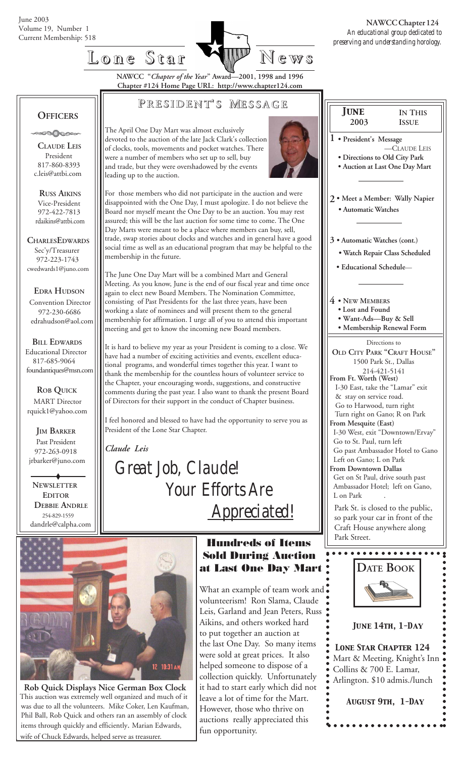



**NAWCC "***Chapter of the Year***" Award—2001, 1998 and 1996 Chapter #124 Home Page URL: http://www.chapter124.com**

## **P RESIDENT RESIDENT' S M ESSAGE**

 **OFFICERS ON NOOSO** 

 **CLAUDE LEIS** President 817-860-8393 c.leis@attbi.com

 **RUSS AIKINS** Vice-President 972-422-7813 rdaikins@attbi.com

**CHARLESEDWARDS** Sec'y/Treasurer 972-223-1743 cwedwards1@juno.com

 **EDRA HUDSON** Convention Director 972-230-6686 edrahudson@aol.com

 **BILL EDWARDS** Educational Director 817-685-9064 foundantiques@msn.com

 **ROB QUICK MART** Director rquick1@yahoo.com

 **JIM BARKER** Past President 972-263-0918 jrbarker@juno.com

 **DEBBIE ANDRLE** 254-829-1559 dandrle@calpha.com  **NEWSLETTER EDITOR**

The April One Day Mart was almost exclusively devoted to the auction of the late Jack Clark's collection of clocks, tools, movements and pocket watches. There were a number of members who set up to sell, buy and trade, but they were overshadowed by the events leading up to the auction.



For those members who did not participate in the auction and were disappointed with the One Day, I must apologize. I do not believe the Board nor myself meant the One Day to be an auction. You may rest assured; this will be the last auction for some time to come. The One Day Marts were meant to be a place where members can buy, sell, trade, swap stories about clocks and watches and in general have a good social time as well as an educational program that may be helpful to the membership in the future.

The June One Day Mart will be a combined Mart and General Meeting. As you know, June is the end of our fiscal year and time once again to elect new Board Members. The Nomination Committee, consisting of Past Presidents for the last three years, have been working a slate of nominees and will present them to the general membership for affirmation. I urge all of you to attend this important meeting and get to know the incoming new Board members.

It is hard to believe my year as your President is coming to a close. We have had a number of exciting activities and events, excellent educational programs, and wonderful times together this year. I want to thank the membership for the countless hours of volunteer service to the Chapter, your encouraging words, suggestions, and constructive comments during the past year. I also want to thank the present Board of Directors for their support in the conduct of Chapter business.

I feel honored and blessed to have had the opportunity to serve you as President of the Lone Star Chapter.

*Claude Leis*

 *Great Job, Claude! Your Efforts Are Appreciated!*



 **Rob Quick Displays Nice German Box Clock** This auction was extremely well organized and much of it was due to all the volunteers. Mike Coker, Len Kaufman, Phil Ball, Rob Quick and others ran an assembly of clock items through quickly and efficiently. Marian Edwards, wife of Chuck Edwards, helped serve as treasurer.

 **Hundreds of Items Sold During Auction at Last One Day Mart**

What an example of team work and volunteerism! Ron Slama, Claude Leis, Garland and Jean Peters, Russ Aikins, and others worked hard to put together an auction at the last One Day. So many items were sold at great prices. It also helped someone to dispose of a collection quickly. Unfortunately it had to start early which did not leave a lot of time for the Mart. However, those who thrive on auctions really appreciated this fun opportunity.





### *June 14th, 1-Day*

○○○○○○○○○○○○○○○○○○○○○○○ ○○○○○○ ○○○○○○○○○○○○○○○○○○○○○○○○○○○○○○○○○○○○○○○○○○ *Lone Star Chapter 124* Mart & Meeting, Knight's Inn Collins & 700 E. Lamar, Arlington. \$10 admis./lunch

*August 9th, 1-Day*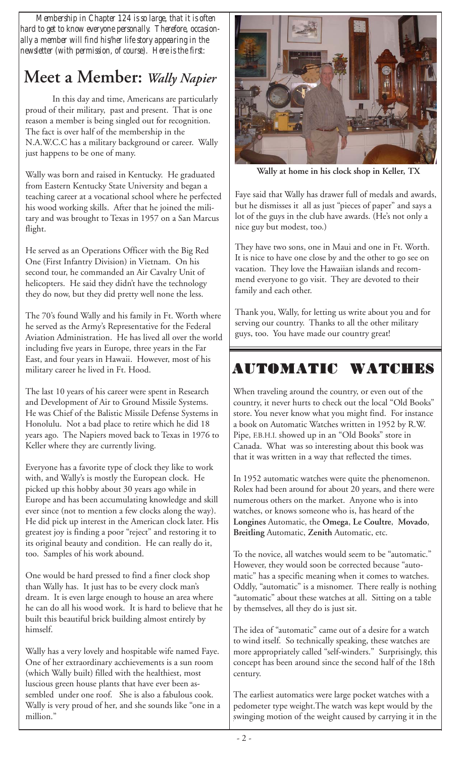*Membership in Chapter 124 is so large, that it is often hard to get to know everyone personally. Therefore, occasionally a member will find his/her life story appearing in the newsletter (with permission, of course). Here is the first:*

# **Meet a Member:** *Wally Napier*

In this day and time, Americans are particularly proud of their military, past and present. That is one reason a member is being singled out for recognition. The fact is over half of the membership in the N.A.W.C.C has a military background or career. Wally just happens to be one of many.

Wally was born and raised in Kentucky. He graduated from Eastern Kentucky State University and began a teaching career at a vocational school where he perfected his wood working skills. After that he joined the military and was brought to Texas in 1957 on a San Marcus flight.

He served as an Operations Officer with the Big Red One (First Infantry Division) in Vietnam. On his second tour, he commanded an Air Cavalry Unit of helicopters. He said they didn't have the technology they do now, but they did pretty well none the less.

The 70's found Wally and his family in Ft. Worth where he served as the Army's Representative for the Federal Aviation Administration. He has lived all over the world including five years in Europe, three years in the Far East, and four years in Hawaii. However, most of his military career he lived in Ft. Hood.

The last 10 years of his career were spent in Research and Development of Air to Ground Missile Systems. He was Chief of the Balistic Missile Defense Systems in Honolulu. Not a bad place to retire which he did 18 years ago. The Napiers moved back to Texas in 1976 to Keller where they are currently living.

Everyone has a favorite type of clock they like to work with, and Wally's is mostly the European clock. He picked up this hobby about 30 years ago while in Europe and has been accumulating knowledge and skill ever since (not to mention a few clocks along the way). He did pick up interest in the American clock later. His greatest joy is finding a poor "reject" and restoring it to its original beauty and condition. He can really do it, too. Samples of his work abound.

One would be hard pressed to find a finer clock shop than Wally has. It just has to be every clock man's dream. It is even large enough to house an area where he can do all his wood work. It is hard to believe that he built this beautiful brick building almost entirely by himself.

Wally has a very lovely and hospitable wife named Faye. One of her extraordinary acchievements is a sun room (which Wally built) filled with the healthiest, most luscious green house plants that have ever been assembled under one roof. She is also a fabulous cook. Wally is very proud of her, and she sounds like "one in a million."



 **Wally at home in his clock shop in Keller, TX**

Faye said that Wally has drawer full of medals and awards, but he dismisses it all as just "pieces of paper" and says a lot of the guys in the club have awards. (He's not only a nice guy but modest, too.)

They have two sons, one in Maui and one in Ft. Worth. It is nice to have one close by and the other to go see on vacation. They love the Hawaiian islands and recommend everyone to go visit. They are devoted to their family and each other.

Thank you, Wally, for letting us write about you and for serving our country. Thanks to all the other military guys, too. You have made our country great!

# **AUTOMATIC WATCHES AUTOMATIC WATCHES**

When traveling around the country, or even out of the country, it never hurts to check out the local "Old Books" store. You never know what you might find. For instance a book on Automatic Watches written in 1952 by R.W. Pipe, F.B.H.I. showed up in an "Old Books" store in Canada. What was so interesting about this book was that it was written in a way that reflected the times.

In 1952 automatic watches were quite the phenomenon. Rolex had been around for about 20 years, and there were numerous others on the market. Anyone who is into watches, or knows someone who is, has heard of the **Longines** Automatic, the **Omega**, **Le Coultre**, **Movado**, **Breitling** Automatic, **Zenith** Automatic, etc.

To the novice, all watches would seem to be "automatic." However, they would soon be corrected because "automatic" has a specific meaning when it comes to watches. Oddly, "automatic" is a misnomer. There really is nothing "automatic" about these watches at all. Sitting on a table by themselves, all they do is just sit.

The idea of "automatic" came out of a desire for a watch to wind itself. So technically speaking, these watches are more appropriately called "self-winders." Surprisingly, this concept has been around since the second half of the 18th century.

The earliest automatics were large pocket watches with a pedometer type weight.The watch was kept would by the swinging motion of the weight caused by carrying it in the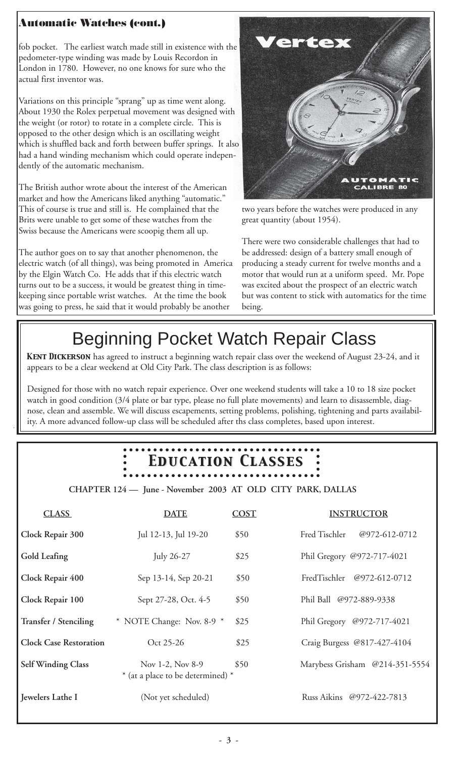## **Automatic Watches (cont.)**

fob pocket. The earliest watch made still in existence with the pedometer-type winding was made by Louis Recordon in London in 1780. However, no one knows for sure who the actual first inventor was.

Variations on this principle "sprang" up as time went along. About 1930 the Rolex perpetual movement was designed with the weight (or rotor) to rotate in a complete circle. This is opposed to the other design which is an oscillating weight which is shuffled back and forth between buffer springs. It also had a hand winding mechanism which could operate independently of the automatic mechanism.

The British author wrote about the interest of the American market and how the Americans liked anything "automatic." This of course is true and still is. He complained that the Brits were unable to get some of these watches from the Swiss because the Americans were scoopig them all up.

The author goes on to say that another phenomenon, the electric watch (of all things), was being promoted in America by the Elgin Watch Co. He adds that if this electric watch turns out to be a success, it would be greatest thing in timekeeping since portable wrist watches. At the time the book was going to press, he said that it would probably be another



two years before the watches were produced in any great quantity (about 1954).

There were two considerable challenges that had to be addressed: design of a battery small enough of producing a steady current for twelve months and a motor that would run at a uniform speed. Mr. Pope was excited about the prospect of an electric watch but was content to stick with automatics for the time being.

# Beginning Pocket Watch Repair Class

*Kent Dickerson* has agreed to instruct a beginning watch repair class over the weekend of August 23-24, and it appears to be a clear weekend at Old City Park. The class description is as follows:

Designed for those with no watch repair experience. Over one weekend students will take a 10 to 18 size pocket watch in good condition (3/4 plate or bar type, please no full plate movements) and learn to disassemble, diagnose, clean and assemble. We will discuss escapements, setting problems, polishing, tightening and parts availability. A more advanced follow-up class will be scheduled after ths class completes, based upon interest.

# *Education Classes Education Classes*

 **CHAPTER 124 — June - November 2003 AT OLD CITY PARK, DALLAS**

| <b>CLASS</b>                  | <b>DATE</b>                                           | <b>COST</b> | <b>INSTRUCTOR</b>              |
|-------------------------------|-------------------------------------------------------|-------------|--------------------------------|
| Clock Repair 300              | Jul 12-13, Jul 19-20                                  | \$50        | Fred Tischler<br>@972-612-0712 |
| Gold Leafing                  | July 26-27                                            | \$25        | Phil Gregory @972-717-4021     |
| Clock Repair 400              | Sep 13-14, Sep 20-21                                  | \$50        | FredTischler @972-612-0712     |
| Clock Repair 100              | Sept 27-28, Oct. 4-5                                  | \$50        | Phil Ball @972-889-9338        |
| <b>Transfer / Stenciling</b>  | $*$ NOTE Change: Nov. 8-9 $*$                         | \$25        | Phil Gregory @972-717-4021     |
| <b>Clock Case Restoration</b> | Oct 25-26                                             | \$25        | Craig Burgess @817-427-4104    |
| <b>Self Winding Class</b>     | Nov 1-2, Nov 8-9<br>* (at a place to be determined) * | \$50        | Marybess Grisham @214-351-5554 |
| Jewelers Lathe I              | (Not yet scheduled)                                   |             | Russ Aikins @972-422-7813      |